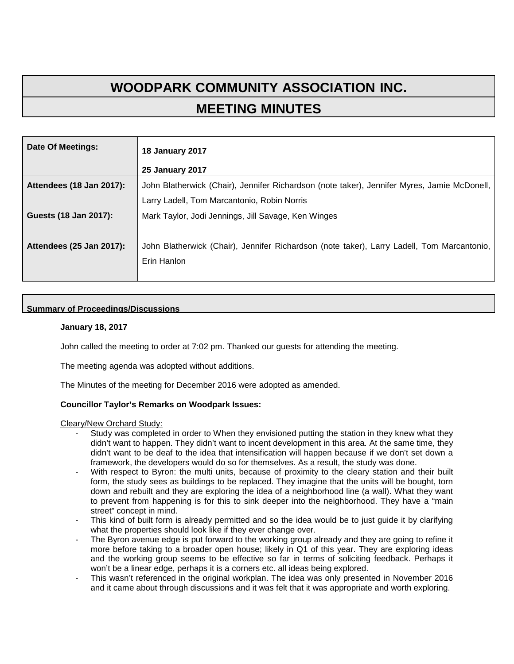# **WOODPARK COMMUNITY ASSOCIATION INC. MEETING MINUTES**

| Date Of Meetings:        | <b>18 January 2017</b>                                                                                    |
|--------------------------|-----------------------------------------------------------------------------------------------------------|
|                          | <b>25 January 2017</b>                                                                                    |
| Attendees (18 Jan 2017): | John Blatherwick (Chair), Jennifer Richardson (note taker), Jennifer Myres, Jamie McDonell,               |
|                          | Larry Ladell, Tom Marcantonio, Robin Norris                                                               |
| Guests (18 Jan 2017):    | Mark Taylor, Jodi Jennings, Jill Savage, Ken Winges                                                       |
| Attendees (25 Jan 2017): | John Blatherwick (Chair), Jennifer Richardson (note taker), Larry Ladell, Tom Marcantonio,<br>Erin Hanlon |

# **Summary of Proceedings/Discussions**

## **January 18, 2017**

John called the meeting to order at 7:02 pm. Thanked our guests for attending the meeting.

The meeting agenda was adopted without additions.

The Minutes of the meeting for December 2016 were adopted as amended.

## **Councillor Taylor's Remarks on Woodpark Issues:**

Cleary/New Orchard Study:

- Study was completed in order to When they envisioned putting the station in they knew what they didn't want to happen. They didn't want to incent development in this area. At the same time, they didn't want to be deaf to the idea that intensification will happen because if we don't set down a framework, the developers would do so for themselves. As a result, the study was done.
- With respect to Byron: the multi units, because of proximity to the cleary station and their built form, the study sees as buildings to be replaced. They imagine that the units will be bought, torn down and rebuilt and they are exploring the idea of a neighborhood line (a wall). What they want to prevent from happening is for this to sink deeper into the neighborhood. They have a "main street" concept in mind.
- This kind of built form is already permitted and so the idea would be to just guide it by clarifying what the properties should look like if they ever change over.
- The Byron avenue edge is put forward to the working group already and they are going to refine it more before taking to a broader open house; likely in Q1 of this year. They are exploring ideas and the working group seems to be effective so far in terms of soliciting feedback. Perhaps it won't be a linear edge, perhaps it is a corners etc. all ideas being explored.
- This wasn't referenced in the original workplan. The idea was only presented in November 2016 and it came about through discussions and it was felt that it was appropriate and worth exploring.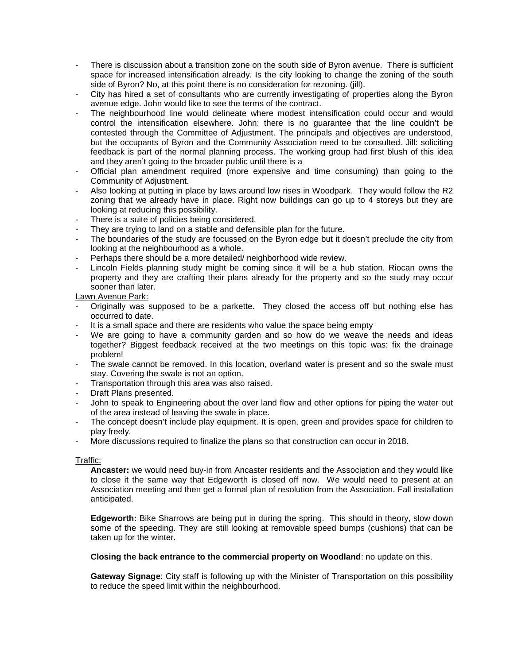- There is discussion about a transition zone on the south side of Byron avenue. There is sufficient space for increased intensification already. Is the city looking to change the zoning of the south side of Byron? No, at this point there is no consideration for rezoning. (jill).
- City has hired a set of consultants who are currently investigating of properties along the Byron avenue edge. John would like to see the terms of the contract.
- The neighbourhood line would delineate where modest intensification could occur and would control the intensification elsewhere. John: there is no guarantee that the line couldn't be contested through the Committee of Adjustment. The principals and objectives are understood, but the occupants of Byron and the Community Association need to be consulted. Jill: soliciting feedback is part of the normal planning process. The working group had first blush of this idea and they aren't going to the broader public until there is a
- Official plan amendment required (more expensive and time consuming) than going to the Community of Adjustment.
- Also looking at putting in place by laws around low rises in Woodpark. They would follow the R2 zoning that we already have in place. Right now buildings can go up to 4 storeys but they are looking at reducing this possibility.
- There is a suite of policies being considered.
- They are trying to land on a stable and defensible plan for the future.
- The boundaries of the study are focussed on the Byron edge but it doesn't preclude the city from looking at the neighbourhood as a whole.
- Perhaps there should be a more detailed/ neighborhood wide review.
- Lincoln Fields planning study might be coming since it will be a hub station. Riocan owns the property and they are crafting their plans already for the property and so the study may occur sooner than later.

Lawn Avenue Park:

- Originally was supposed to be a parkette. They closed the access off but nothing else has occurred to date.
- It is a small space and there are residents who value the space being empty
- We are going to have a community garden and so how do we weave the needs and ideas together? Biggest feedback received at the two meetings on this topic was: fix the drainage problem!
- The swale cannot be removed. In this location, overland water is present and so the swale must stay. Covering the swale is not an option.
- Transportation through this area was also raised.
- Draft Plans presented.
- John to speak to Engineering about the over land flow and other options for piping the water out of the area instead of leaving the swale in place.
- The concept doesn't include play equipment. It is open, green and provides space for children to play freely.
- More discussions required to finalize the plans so that construction can occur in 2018.

## Traffic:

**Ancaster:** we would need buy-in from Ancaster residents and the Association and they would like to close it the same way that Edgeworth is closed off now. We would need to present at an Association meeting and then get a formal plan of resolution from the Association. Fall installation anticipated.

**Edgeworth:** Bike Sharrows are being put in during the spring. This should in theory, slow down some of the speeding. They are still looking at removable speed bumps (cushions) that can be taken up for the winter.

## **Closing the back entrance to the commercial property on Woodland**: no update on this.

**Gateway Signage**: City staff is following up with the Minister of Transportation on this possibility to reduce the speed limit within the neighbourhood.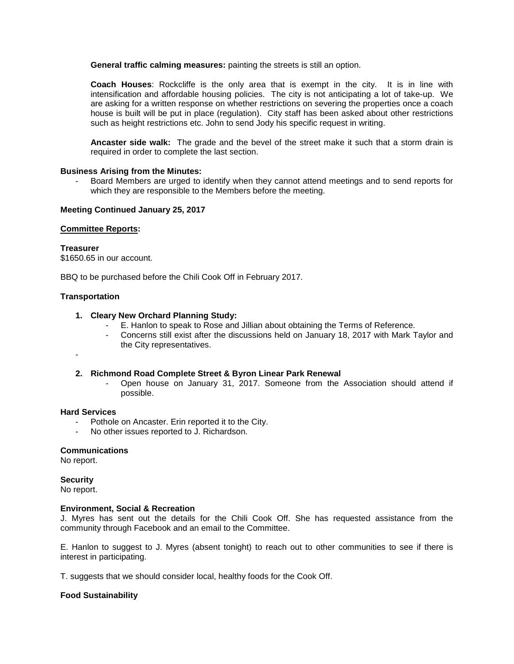**General traffic calming measures:** painting the streets is still an option.

**Coach Houses**: Rockcliffe is the only area that is exempt in the city. It is in line with intensification and affordable housing policies. The city is not anticipating a lot of take-up. We are asking for a written response on whether restrictions on severing the properties once a coach house is built will be put in place (regulation). City staff has been asked about other restrictions such as height restrictions etc. John to send Jody his specific request in writing.

**Ancaster side walk:** The grade and the bevel of the street make it such that a storm drain is required in order to complete the last section.

#### **Business Arising from the Minutes:**

- Board Members are urged to identify when they cannot attend meetings and to send reports for which they are responsible to the Members before the meeting.

#### **Meeting Continued January 25, 2017**

#### **Committee Reports:**

## **Treasurer**

\$1650.65 in our account.

BBQ to be purchased before the Chili Cook Off in February 2017.

#### **Transportation**

#### **1. Cleary New Orchard Planning Study:**

- E. Hanlon to speak to Rose and Jillian about obtaining the Terms of Reference.
- Concerns still exist after the discussions held on January 18, 2017 with Mark Taylor and the City representatives.
- -

#### **2. Richmond Road Complete Street & Byron Linear Park Renewal**

- Open house on January 31, 2017. Someone from the Association should attend if possible.

#### **Hard Services**

- Pothole on Ancaster. Erin reported it to the City.
- No other issues reported to J. Richardson.

#### **Communications**

No report.

## **Security**

No report.

#### **Environment, Social & Recreation**

J. Myres has sent out the details for the Chili Cook Off. She has requested assistance from the community through Facebook and an email to the Committee.

E. Hanlon to suggest to J. Myres (absent tonight) to reach out to other communities to see if there is interest in participating.

T. suggests that we should consider local, healthy foods for the Cook Off.

## **Food Sustainability**